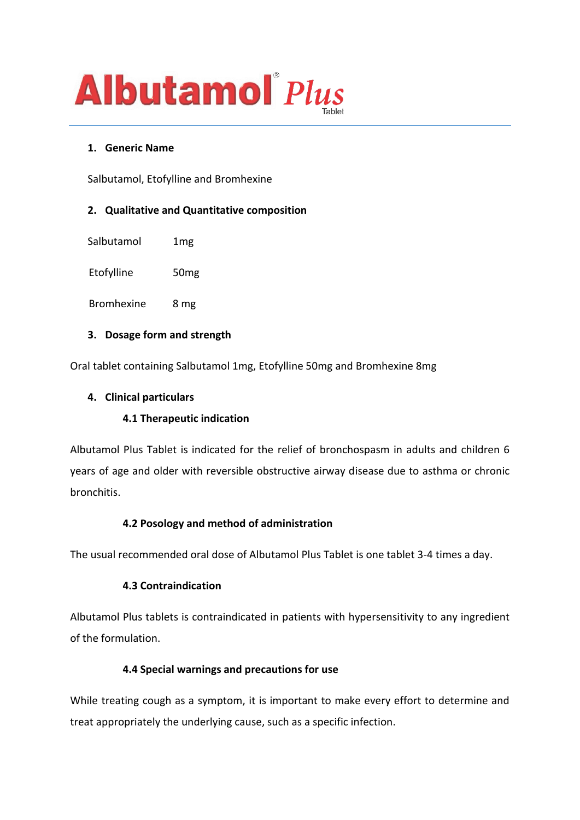

### **1. Generic Name**

Salbutamol, Etofylline and Bromhexine

## **2. Qualitative and Quantitative composition**

Salbutamol 1mg

Etofylline 50mg

Bromhexine 8 mg

### **3. Dosage form and strength**

Oral tablet containing Salbutamol 1mg, Etofylline 50mg and Bromhexine 8mg

### **4. Clinical particulars**

### **4.1 Therapeutic indication**

Albutamol Plus Tablet is indicated for the relief of bronchospasm in adults and children 6 years of age and older with reversible obstructive airway disease due to asthma or chronic bronchitis.

# **4.2 Posology and method of administration**

The usual recommended oral dose of Albutamol Plus Tablet is one tablet 3-4 times a day.

### **4.3 Contraindication**

Albutamol Plus tablets is contraindicated in patients with hypersensitivity to any ingredient of the formulation.

### **4.4 Special warnings and precautions for use**

While treating cough as a symptom, it is important to make every effort to determine and treat appropriately the underlying cause, such as a specific infection.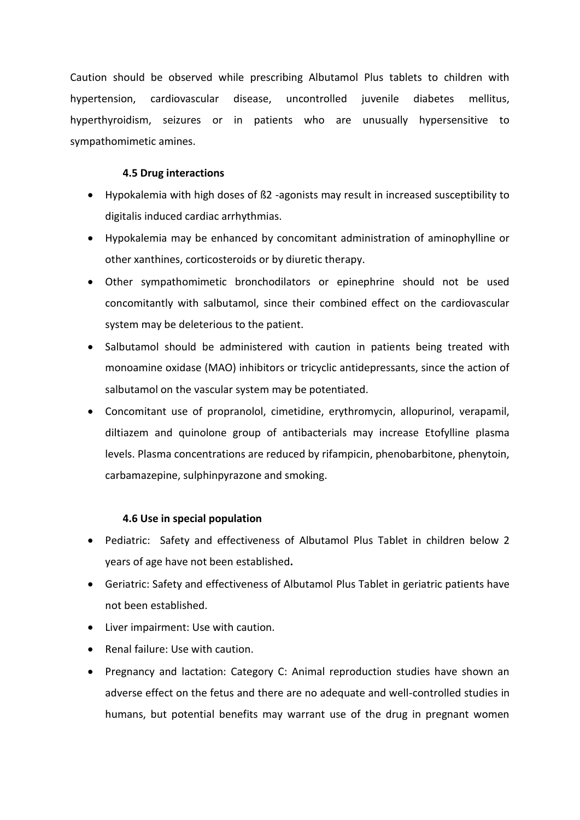Caution should be observed while prescribing Albutamol Plus tablets to children with hypertension, cardiovascular disease, uncontrolled juvenile diabetes mellitus, hyperthyroidism, seizures or in patients who are unusually hypersensitive to sympathomimetic amines.

## **4.5 Drug interactions**

- Hypokalemia with high doses of ß2 -agonists may result in increased susceptibility to digitalis induced cardiac arrhythmias.
- Hypokalemia may be enhanced by concomitant administration of aminophylline or other xanthines, corticosteroids or by diuretic therapy.
- Other sympathomimetic bronchodilators or epinephrine should not be used concomitantly with salbutamol, since their combined effect on the cardiovascular system may be deleterious to the patient.
- Salbutamol should be administered with caution in patients being treated with monoamine oxidase (MAO) inhibitors or tricyclic antidepressants, since the action of salbutamol on the vascular system may be potentiated.
- Concomitant use of propranolol, cimetidine, erythromycin, allopurinol, verapamil, diltiazem and quinolone group of antibacterials may increase Etofylline plasma levels. Plasma concentrations are reduced by rifampicin, phenobarbitone, phenytoin, carbamazepine, sulphinpyrazone and smoking.

# **4.6 Use in special population**

- Pediatric: Safety and effectiveness of Albutamol Plus Tablet in children below 2 years of age have not been established**.**
- Geriatric: Safety and effectiveness of Albutamol Plus Tablet in geriatric patients have not been established.
- Liver impairment: Use with caution.
- Renal failure: Use with caution.
- Pregnancy and lactation: Category C: Animal reproduction studies have shown an adverse effect on the fetus and there are no adequate and well-controlled studies in humans, but potential benefits may warrant use of the drug in pregnant women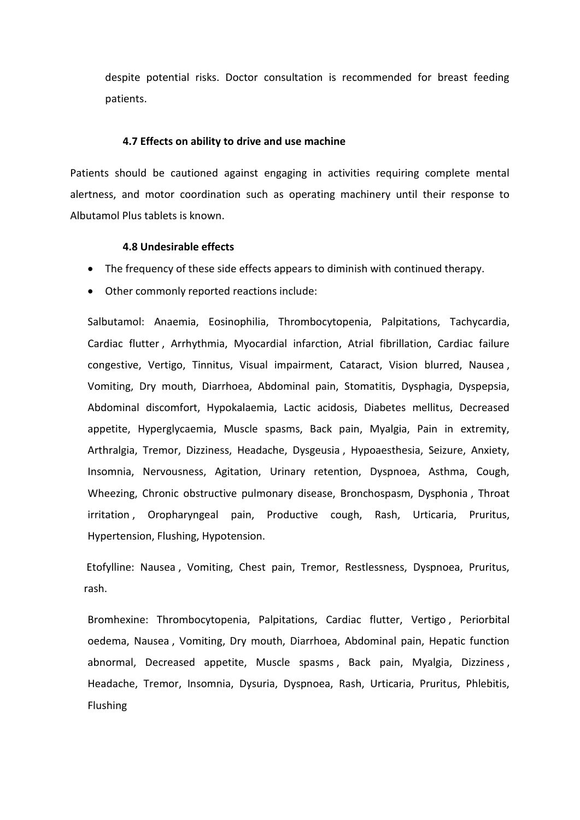despite potential risks. Doctor consultation is recommended for breast feeding patients.

#### **4.7 Effects on ability to drive and use machine**

Patients should be cautioned against engaging in activities requiring complete mental alertness, and motor coordination such as operating machinery until their response to Albutamol Plus tablets is known.

#### **4.8 Undesirable effects**

- The frequency of these side effects appears to diminish with continued therapy.
- Other commonly reported reactions include:

Salbutamol: Anaemia, Eosinophilia, Thrombocytopenia, Palpitations, Tachycardia, Cardiac flutter , Arrhythmia, Myocardial infarction, Atrial fibrillation, Cardiac failure congestive, Vertigo, Tinnitus, Visual impairment, Cataract, Vision blurred, Nausea , Vomiting, Dry mouth, Diarrhoea, Abdominal pain, Stomatitis, Dysphagia, Dyspepsia, Abdominal discomfort, Hypokalaemia, Lactic acidosis, Diabetes mellitus, Decreased appetite, Hyperglycaemia, Muscle spasms, Back pain, Myalgia, Pain in extremity, Arthralgia, Tremor, Dizziness, Headache, Dysgeusia , Hypoaesthesia, Seizure, Anxiety, Insomnia, Nervousness, Agitation, Urinary retention, Dyspnoea, Asthma, Cough, Wheezing, Chronic obstructive pulmonary disease, Bronchospasm, Dysphonia , Throat irritation , Oropharyngeal pain, Productive cough, Rash, Urticaria, Pruritus, Hypertension, Flushing, Hypotension.

Etofylline: Nausea , Vomiting, Chest pain, Tremor, Restlessness, Dyspnoea, Pruritus, rash.

Bromhexine: Thrombocytopenia, Palpitations, Cardiac flutter, Vertigo , Periorbital oedema, Nausea , Vomiting, Dry mouth, Diarrhoea, Abdominal pain, Hepatic function abnormal, Decreased appetite, Muscle spasms , Back pain, Myalgia, Dizziness , Headache, Tremor, Insomnia, Dysuria, Dyspnoea, Rash, Urticaria, Pruritus, Phlebitis, Flushing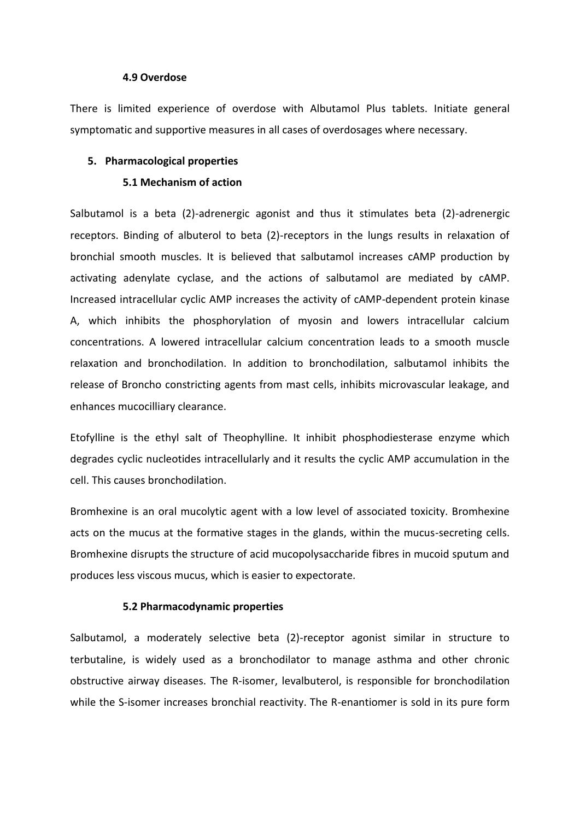#### **4.9 Overdose**

There is limited experience of overdose with Albutamol Plus tablets. Initiate general symptomatic and supportive measures in all cases of overdosages where necessary.

#### **5. Pharmacological properties**

#### **5.1 Mechanism of action**

Salbutamol is a beta (2)-adrenergic agonist and thus it stimulates beta (2)-adrenergic receptors. Binding of albuterol to beta (2)-receptors in the lungs results in relaxation of bronchial smooth muscles. It is believed that salbutamol increases cAMP production by activating adenylate cyclase, and the actions of salbutamol are mediated by cAMP. Increased intracellular cyclic AMP increases the activity of cAMP-dependent protein kinase A, which inhibits the phosphorylation of myosin and lowers intracellular calcium concentrations. A lowered intracellular calcium concentration leads to a smooth muscle relaxation and bronchodilation. In addition to bronchodilation, salbutamol inhibits the release of Broncho constricting agents from mast cells, inhibits microvascular leakage, and enhances mucocilliary clearance.

Etofylline is the ethyl salt of Theophylline. It inhibit phosphodiesterase enzyme which degrades cyclic nucleotides intracellularly and it results the cyclic AMP accumulation in the cell. This causes bronchodilation.

Bromhexine is an oral mucolytic agent with a low level of associated toxicity. Bromhexine acts on the mucus at the formative stages in the glands, within the mucus-secreting cells. Bromhexine disrupts the structure of acid mucopolysaccharide fibres in mucoid sputum and produces less viscous mucus, which is easier to expectorate.

#### **5.2 Pharmacodynamic properties**

Salbutamol, a moderately selective beta (2)-receptor agonist similar in structure to terbutaline, is widely used as a bronchodilator to manage asthma and other chronic obstructive airway diseases. The R-isomer, levalbuterol, is responsible for bronchodilation while the S-isomer increases bronchial reactivity. The R-enantiomer is sold in its pure form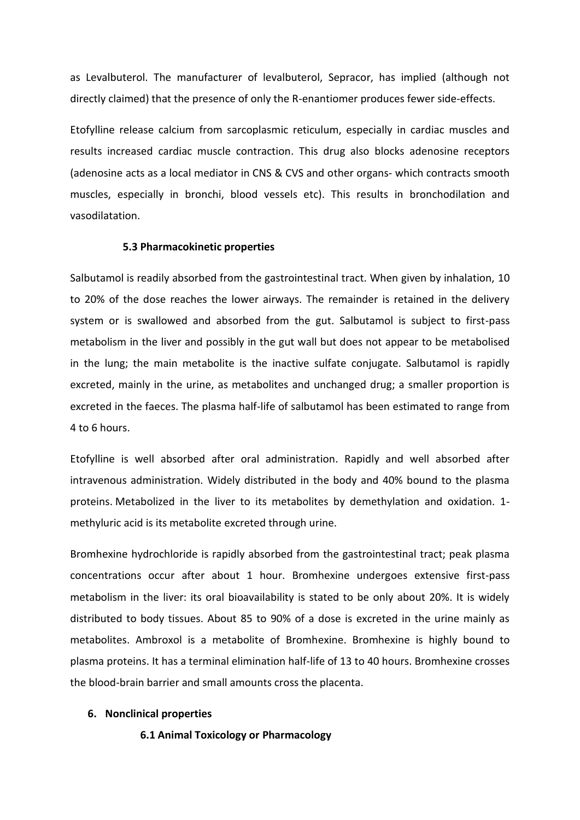as Levalbuterol. The manufacturer of levalbuterol, Sepracor, has implied (although not directly claimed) that the presence of only the R-enantiomer produces fewer side-effects.

Etofylline release calcium from sarcoplasmic reticulum, especially in cardiac muscles and results increased cardiac muscle contraction. This drug also blocks adenosine receptors (adenosine acts as a local mediator in CNS & CVS and other organs- which contracts smooth muscles, especially in bronchi, blood vessels etc). This results in bronchodilation and vasodilatation.

#### **5.3 Pharmacokinetic properties**

Salbutamol is readily absorbed from the gastrointestinal tract. When given by inhalation, 10 to 20% of the dose reaches the lower airways. The remainder is retained in the delivery system or is swallowed and absorbed from the gut. Salbutamol is subject to first-pass metabolism in the liver and possibly in the gut wall but does not appear to be metabolised in the lung; the main metabolite is the inactive sulfate conjugate. Salbutamol is rapidly excreted, mainly in the urine, as metabolites and unchanged drug; a smaller proportion is excreted in the faeces. The plasma half-life of salbutamol has been estimated to range from 4 to 6 hours.

Etofylline is well absorbed after oral administration. Rapidly and well absorbed after intravenous administration. Widely distributed in the body and 40% bound to the plasma proteins. Metabolized in the liver to its metabolites by demethylation and oxidation. 1 methyluric acid is its metabolite excreted through urine.

Bromhexine hydrochloride is rapidly absorbed from the gastrointestinal tract; peak plasma concentrations occur after about 1 hour. Bromhexine undergoes extensive first-pass metabolism in the liver: its oral bioavailability is stated to be only about 20%. It is widely distributed to body tissues. About 85 to 90% of a dose is excreted in the urine mainly as metabolites. Ambroxol is a metabolite of Bromhexine. Bromhexine is highly bound to plasma proteins. It has a terminal elimination half-life of 13 to 40 hours. Bromhexine crosses the blood-brain barrier and small amounts cross the placenta.

#### **6. Nonclinical properties**

**6.1 Animal Toxicology or Pharmacology**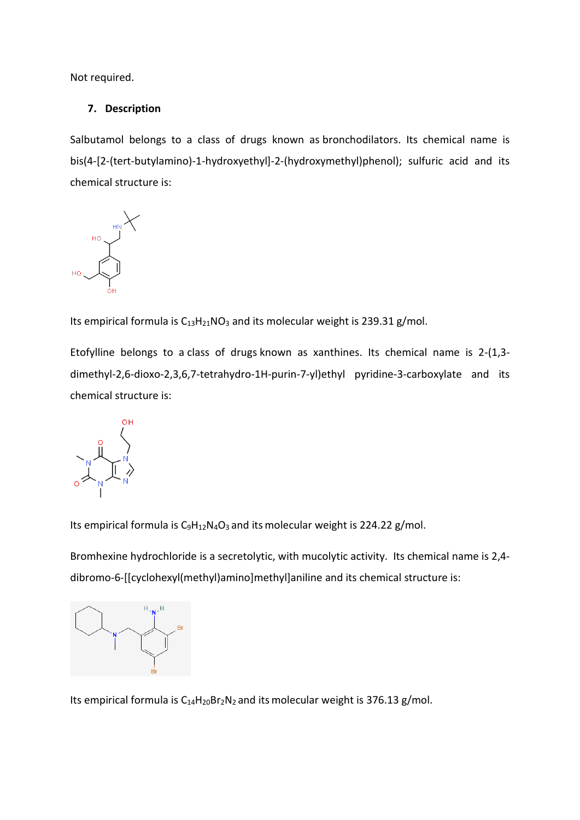Not required.

# **7. Description**

Salbutamol belongs to a class of drugs known as bronchodilators. Its chemical name is bis(4-[2-(tert-butylamino)-1-hydroxyethyl]-2-(hydroxymethyl)phenol); sulfuric acid and its chemical structure is:



Its empirical formula is  $C_{13}H_{21}NO_3$  and its molecular weight is 239.31 g/mol.

Etofylline belongs to a class of drugs known as xanthines. Its chemical name is 2-(1,3 dimethyl-2,6-dioxo-2,3,6,7-tetrahydro-1H-purin-7-yl)ethyl pyridine-3-carboxylate and its chemical structure is:



Its empirical formula is  $C_9H_{12}N_4O_3$  and its molecular weight is 224.22 g/mol.

Bromhexine hydrochloride is a secretolytic, with mucolytic activity. Its chemical name is 2,4 dibromo-6-[[cyclohexyl(methyl)amino]methyl]aniline and its chemical structure is:



Its empirical formula is  $C_{14}H_{20}Br_2N_2$  and its molecular weight is 376.13 g/mol.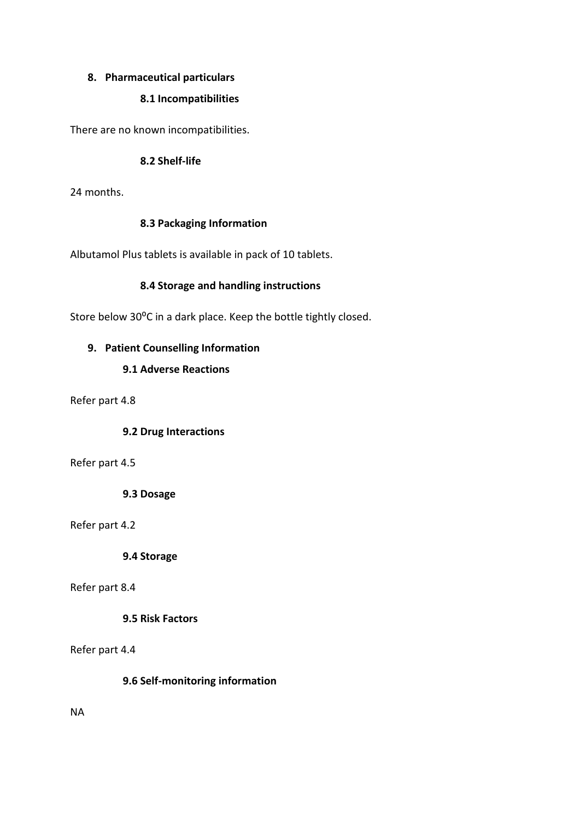## **8. Pharmaceutical particulars**

## **8.1 Incompatibilities**

There are no known incompatibilities.

## **8.2 Shelf-life**

24 months.

## **8.3 Packaging Information**

Albutamol Plus tablets is available in pack of 10 tablets.

## **8.4 Storage and handling instructions**

Store below 30°C in a dark place. Keep the bottle tightly closed.

## **9. Patient Counselling Information**

# **9.1 Adverse Reactions**

Refer part 4.8

### **9.2 Drug Interactions**

### Refer part 4.5

**9.3 Dosage**

Refer part 4.2

**9.4 Storage**

### Refer part 8.4

# **9.5 Risk Factors**

### Refer part 4.4

**9.6 Self-monitoring information**